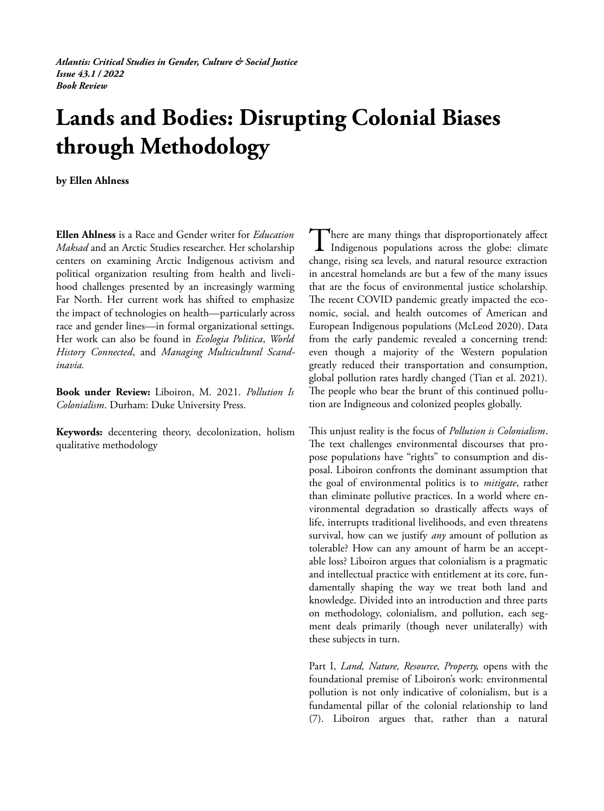*Atlantis: Critical Studies in Gender, Culture & Social Justice Issue 43.1 / 2022 Book Review*

## **Lands and Bodies: Disrupting Colonial Biases through Methodology**

**by Ellen Ahlness**

**Ellen Ahlness** is a Race and Gender writer for *Education Maksad* and an Arctic Studies researcher. Her scholarship centers on examining Arctic Indigenous activism and political organization resulting from health and livelihood challenges presented by an increasingly warming Far North. Her current work has shifted to emphasize the impact of technologies on health—particularly across race and gender lines—in formal organizational settings. Her work can also be found in *Ecologia Politica*, *World History Connected*, and *Managing Multicultural Scandinavia.* 

**Book under Review:** Liboiron, M. 2021. *Pollution Is Colonialism*. Durham: Duke University Press.

**Keywords:** decentering theory, decolonization, holism qualitative methodology

There are many things that disproportionately affect There are many things that disproportionately affect<br>Indigenous populations across the globe: climate change, rising sea levels, and natural resource extraction in ancestral homelands are but a few of the many issues that are the focus of environmental justice scholarship. The recent COVID pandemic greatly impacted the economic, social, and health outcomes of American and European Indigenous populations (McLeod 2020). Data from the early pandemic revealed a concerning trend: even though a majority of the Western population greatly reduced their transportation and consumption, global pollution rates hardly changed (Tian et al. 2021). The people who bear the brunt of this continued pollution are Indigneous and colonized peoples globally.

This unjust reality is the focus of *Pollution is Colonialism*. The text challenges environmental discourses that propose populations have "rights" to consumption and disposal. Liboiron confronts the dominant assumption that the goal of environmental politics is to *mitigate*, rather than eliminate pollutive practices. In a world where environmental degradation so drastically affects ways of life, interrupts traditional livelihoods, and even threatens survival, how can we justify *any* amount of pollution as tolerable? How can any amount of harm be an acceptable loss? Liboiron argues that colonialism is a pragmatic and intellectual practice with entitlement at its core, fundamentally shaping the way we treat both land and knowledge. Divided into an introduction and three parts on methodology, colonialism, and pollution, each segment deals primarily (though never unilaterally) with these subjects in turn.

Part I, *Land, Nature, Resource, Property,* opens with the foundational premise of Liboiron's work: environmental pollution is not only indicative of colonialism, but is a fundamental pillar of the colonial relationship to land (7). Liboiron argues that, rather than a natural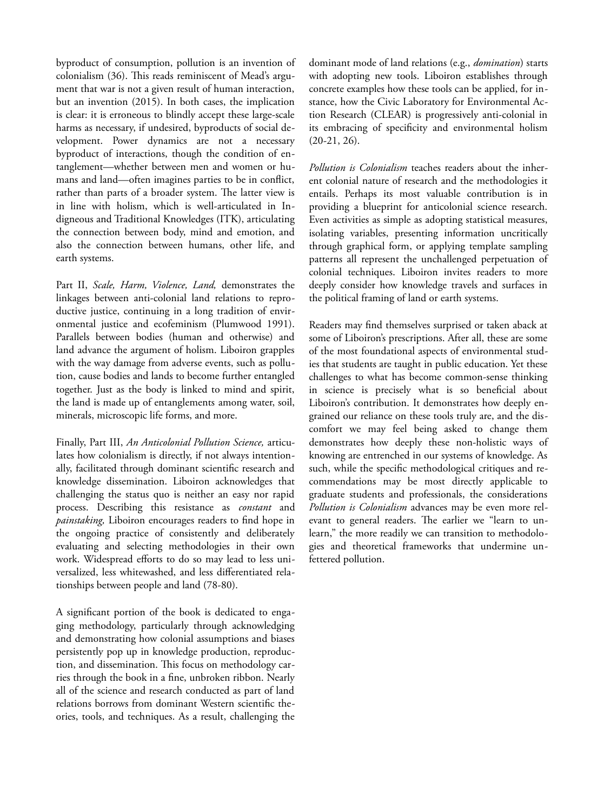byproduct of consumption, pollution is an invention of colonialism (36). This reads reminiscent of Mead's argument that war is not a given result of human interaction, but an invention (2015). In both cases, the implication is clear: it is erroneous to blindly accept these large-scale harms as necessary, if undesired, byproducts of social development. Power dynamics are not a necessary byproduct of interactions, though the condition of entanglement—whether between men and women or humans and land—often imagines parties to be in conflict, rather than parts of a broader system. The latter view is in line with holism, which is well-articulated in Indigneous and Traditional Knowledges (ITK), articulating the connection between body, mind and emotion, and also the connection between humans, other life, and earth systems.

Part II, *Scale, Harm, Violence, Land,* demonstrates the linkages between anti-colonial land relations to reproductive justice, continuing in a long tradition of environmental justice and ecofeminism (Plumwood 1991). Parallels between bodies (human and otherwise) and land advance the argument of holism. Liboiron grapples with the way damage from adverse events, such as pollution, cause bodies and lands to become further entangled together. Just as the body is linked to mind and spirit, the land is made up of entanglements among water, soil, minerals, microscopic life forms, and more.

Finally, Part III, *An Anticolonial Pollution Science,* articulates how colonialism is directly, if not always intentionally, facilitated through dominant scientific research and knowledge dissemination. Liboiron acknowledges that challenging the status quo is neither an easy nor rapid process. Describing this resistance as *constant* and *painstaking,* Liboiron encourages readers to find hope in the ongoing practice of consistently and deliberately evaluating and selecting methodologies in their own work. Widespread efforts to do so may lead to less universalized, less whitewashed, and less differentiated relationships between people and land (78-80).

A significant portion of the book is dedicated to engaging methodology, particularly through acknowledging and demonstrating how colonial assumptions and biases persistently pop up in knowledge production, reproduction, and dissemination. This focus on methodology carries through the book in a fine, unbroken ribbon. Nearly all of the science and research conducted as part of land relations borrows from dominant Western scientific theories, tools, and techniques. As a result, challenging the

dominant mode of land relations (e.g., *domination*) starts with adopting new tools. Liboiron establishes through concrete examples how these tools can be applied, for instance, how the Civic Laboratory for Environmental Action Research (CLEAR) is progressively anti-colonial in its embracing of specificity and environmental holism (20-21, 26).

*Pollution is Colonialism* teaches readers about the inherent colonial nature of research and the methodologies it entails. Perhaps its most valuable contribution is in providing a blueprint for anticolonial science research. Even activities as simple as adopting statistical measures, isolating variables, presenting information uncritically through graphical form, or applying template sampling patterns all represent the unchallenged perpetuation of colonial techniques. Liboiron invites readers to more deeply consider how knowledge travels and surfaces in the political framing of land or earth systems.

Readers may find themselves surprised or taken aback at some of Liboiron's prescriptions. After all, these are some of the most foundational aspects of environmental studies that students are taught in public education. Yet these challenges to what has become common-sense thinking in science is precisely what is so beneficial about Liboiron's contribution. It demonstrates how deeply engrained our reliance on these tools truly are, and the discomfort we may feel being asked to change them demonstrates how deeply these non-holistic ways of knowing are entrenched in our systems of knowledge. As such, while the specific methodological critiques and recommendations may be most directly applicable to graduate students and professionals, the considerations *Pollution is Colonialism* advances may be even more relevant to general readers. The earlier we "learn to unlearn," the more readily we can transition to methodologies and theoretical frameworks that undermine unfettered pollution.